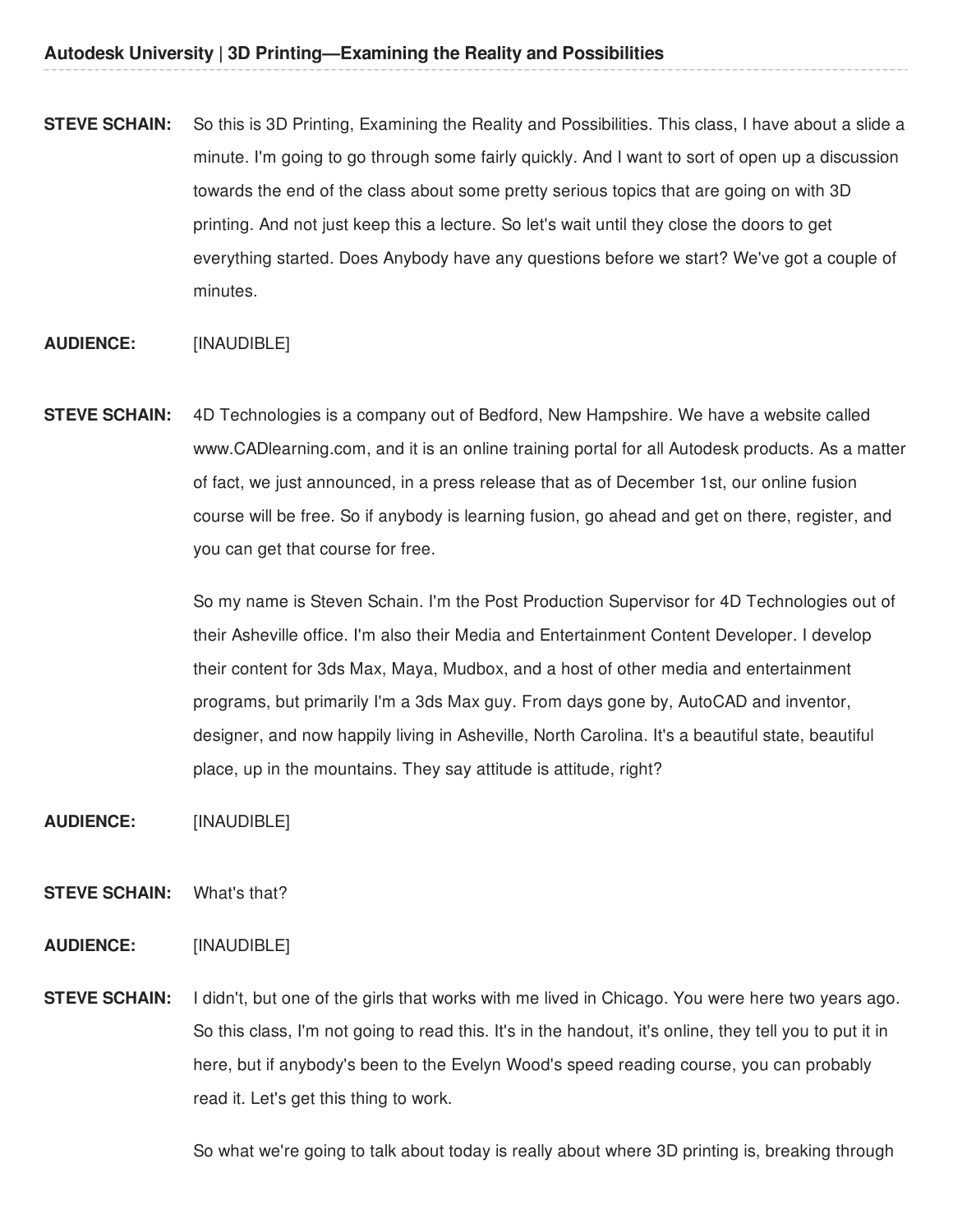**STEVE SCHAIN:** So this is 3D Printing, Examining the Reality and Possibilities. This class, I have about a slide a minute. I'm going to go through some fairly quickly. And I want to sort of open up a discussion towards the end of the class about some pretty serious topics that are going on with 3D printing. And not just keep this a lecture. So let's wait until they close the doors to get everything started. Does Anybody have any questions before we start? We've got a couple of minutes.

#### **AUDIENCE:** [INAUDIBLE]

**STEVE SCHAIN:** 4D Technologies is a company out of Bedford, New Hampshire. We have a website called www.CADlearning.com, and it is an online training portal for all Autodesk products. As a matter of fact, we just announced, in a press release that as of December 1st, our online fusion course will be free. So if anybody is learning fusion, go ahead and get on there, register, and you can get that course for free.

> So my name is Steven Schain. I'm the Post Production Supervisor for 4D Technologies out of their Asheville office. I'm also their Media and Entertainment Content Developer. I develop their content for 3ds Max, Maya, Mudbox, and a host of other media and entertainment programs, but primarily I'm a 3ds Max guy. From days gone by, AutoCAD and inventor, designer, and now happily living in Asheville, North Carolina. It's a beautiful state, beautiful place, up in the mountains. They say attitude is attitude, right?

- **AUDIENCE:** [INAUDIBLE]
- **STEVE SCHAIN:** What's that?
- **AUDIENCE:** [INAUDIBLE]
- **STEVE SCHAIN:** I didn't, but one of the girls that works with me lived in Chicago. You were here two years ago. So this class, I'm not going to read this. It's in the handout, it's online, they tell you to put it in here, but if anybody's been to the Evelyn Wood's speed reading course, you can probably read it. Let's get this thing to work.

So what we're going to talk about today is really about where 3D printing is, breaking through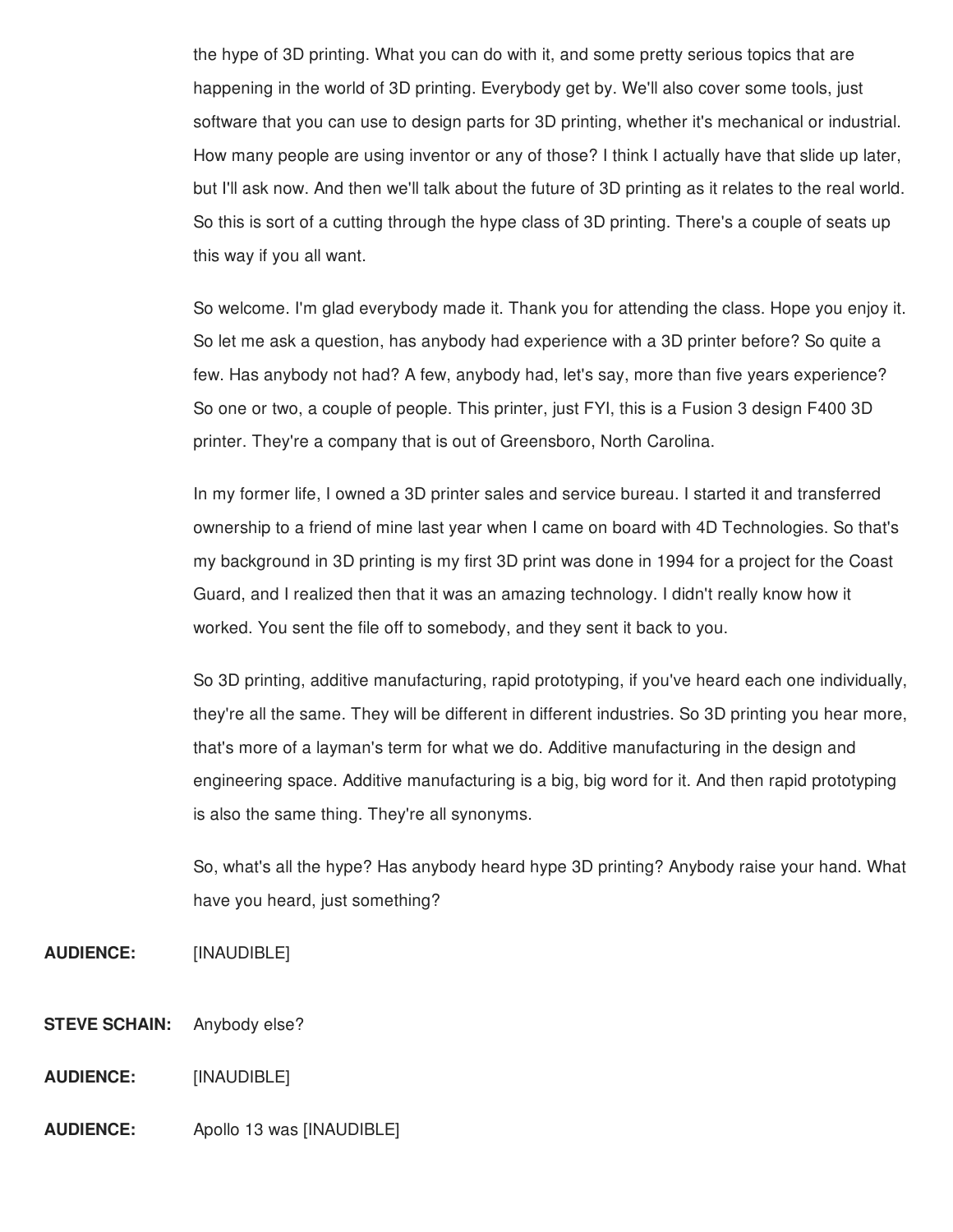the hype of 3D printing. What you can do with it, and some pretty serious topics that are happening in the world of 3D printing. Everybody get by. We'll also cover some tools, just software that you can use to design parts for 3D printing, whether it's mechanical or industrial. How many people are using inventor or any of those? I think I actually have that slide up later, but I'll ask now. And then we'll talk about the future of 3D printing as it relates to the real world. So this is sort of a cutting through the hype class of 3D printing. There's a couple of seats up this way if you all want.

So welcome. I'm glad everybody made it. Thank you for attending the class. Hope you enjoy it. So let me ask a question, has anybody had experience with a 3D printer before? So quite a few. Has anybody not had? A few, anybody had, let's say, more than five years experience? So one or two, a couple of people. This printer, just FYI, this is a Fusion 3 design F400 3D printer. They're a company that is out of Greensboro, North Carolina.

In my former life, I owned a 3D printer sales and service bureau. I started it and transferred ownership to a friend of mine last year when I came on board with 4D Technologies. So that's my background in 3D printing is my first 3D print was done in 1994 for a project for the Coast Guard, and I realized then that it was an amazing technology. I didn't really know how it worked. You sent the file off to somebody, and they sent it back to you.

So 3D printing, additive manufacturing, rapid prototyping, if you've heard each one individually, they're all the same. They will be different in different industries. So 3D printing you hear more, that's more of a layman's term for what we do. Additive manufacturing in the design and engineering space. Additive manufacturing is a big, big word for it. And then rapid prototyping is also the same thing. They're all synonyms.

So, what's all the hype? Has anybody heard hype 3D printing? Anybody raise your hand. What have you heard, just something?

- **AUDIENCE:** [INAUDIBLE]
- **STEVE SCHAIN:** Anybody else?
- **AUDIENCE:** [INAUDIBLE]
- **AUDIENCE:** Apollo 13 was [INAUDIBLE]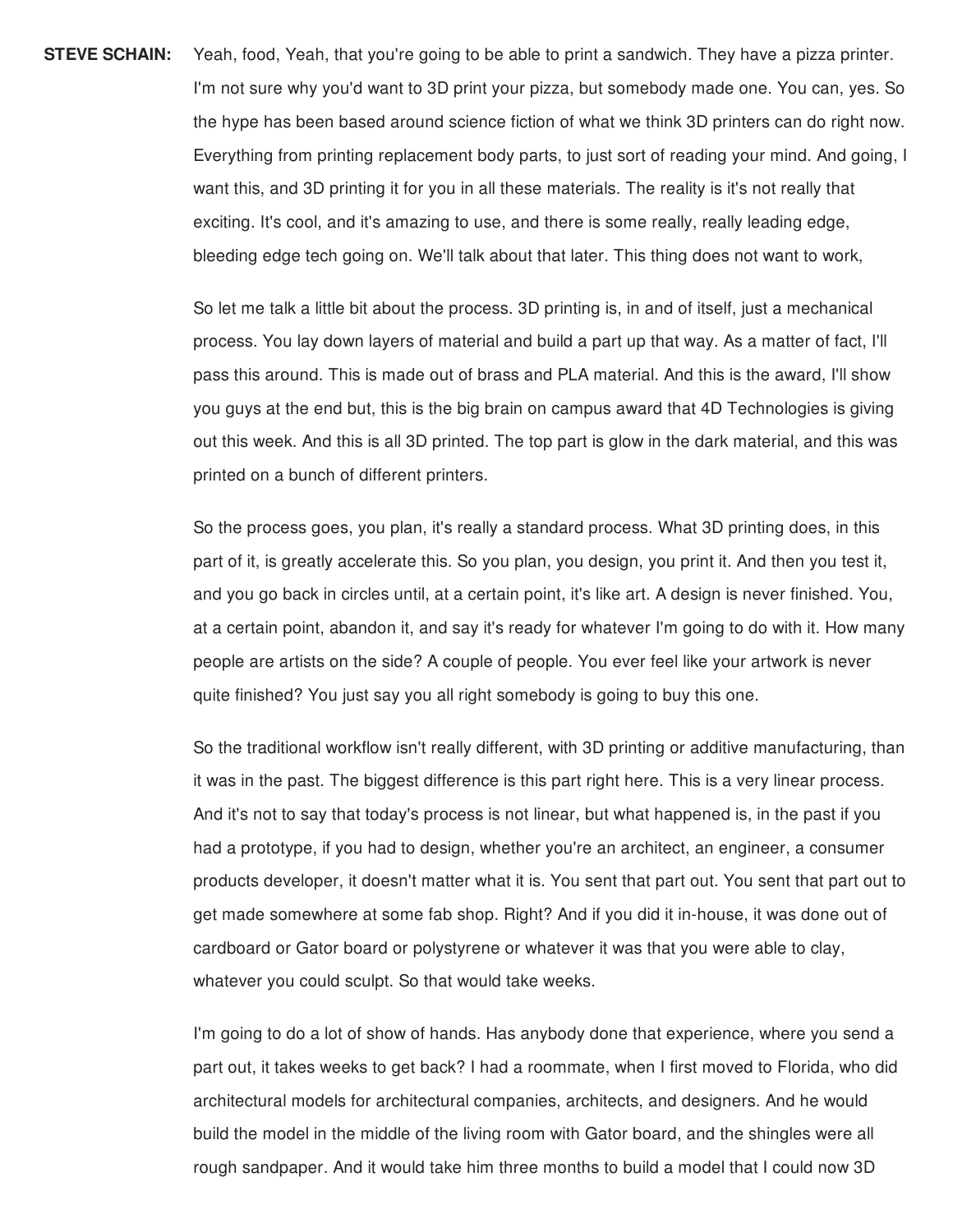**STEVE SCHAIN:** Yeah, food, Yeah, that you're going to be able to print a sandwich. They have a pizza printer. I'm not sure why you'd want to 3D print your pizza, but somebody made one. You can, yes. So the hype has been based around science fiction of what we think 3D printers can do right now. Everything from printing replacement body parts, to just sort of reading your mind. And going, I want this, and 3D printing it for you in all these materials. The reality is it's not really that exciting. It's cool, and it's amazing to use, and there is some really, really leading edge, bleeding edge tech going on. We'll talk about that later. This thing does not want to work,

> So let me talk a little bit about the process. 3D printing is, in and of itself, just a mechanical process. You lay down layers of material and build a part up that way. As a matter of fact, I'll pass this around. This is made out of brass and PLA material. And this is the award, I'll show you guys at the end but, this is the big brain on campus award that 4D Technologies is giving out this week. And this is all 3D printed. The top part is glow in the dark material, and this was printed on a bunch of different printers.

So the process goes, you plan, it's really a standard process. What 3D printing does, in this part of it, is greatly accelerate this. So you plan, you design, you print it. And then you test it, and you go back in circles until, at a certain point, it's like art. A design is never finished. You, at a certain point, abandon it, and say it's ready for whatever I'm going to do with it. How many people are artists on the side? A couple of people. You ever feel like your artwork is never quite finished? You just say you all right somebody is going to buy this one.

So the traditional workflow isn't really different, with 3D printing or additive manufacturing, than it was in the past. The biggest difference is this part right here. This is a very linear process. And it's not to say that today's process is not linear, but what happened is, in the past if you had a prototype, if you had to design, whether you're an architect, an engineer, a consumer products developer, it doesn't matter what it is. You sent that part out. You sent that part out to get made somewhere at some fab shop. Right? And if you did it in-house, it was done out of cardboard or Gator board or polystyrene or whatever it was that you were able to clay, whatever you could sculpt. So that would take weeks.

I'm going to do a lot of show of hands. Has anybody done that experience, where you send a part out, it takes weeks to get back? I had a roommate, when I first moved to Florida, who did architectural models for architectural companies, architects, and designers. And he would build the model in the middle of the living room with Gator board, and the shingles were all rough sandpaper. And it would take him three months to build a model that I could now 3D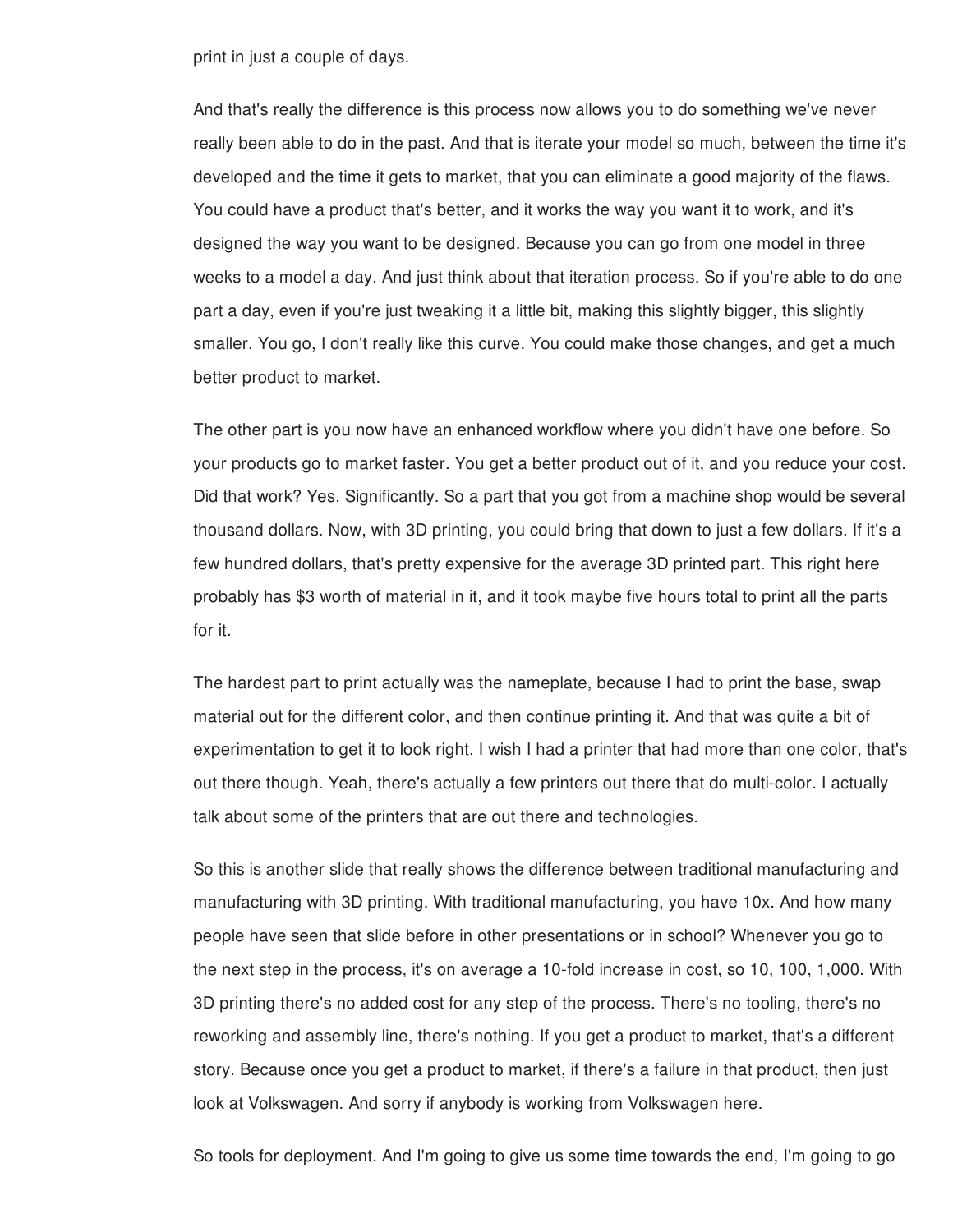print in just a couple of days.

And that's really the difference is this process now allows you to do something we've never really been able to do in the past. And that is iterate your model so much, between the time it's developed and the time it gets to market, that you can eliminate a good majority of the flaws. You could have a product that's better, and it works the way you want it to work, and it's designed the way you want to be designed. Because you can go from one model in three weeks to a model a day. And just think about that iteration process. So if you're able to do one part a day, even if you're just tweaking it a little bit, making this slightly bigger, this slightly smaller. You go, I don't really like this curve. You could make those changes, and get a much better product to market.

The other part is you now have an enhanced workflow where you didn't have one before. So your products go to market faster. You get a better product out of it, and you reduce your cost. Did that work? Yes. Significantly. So a part that you got from a machine shop would be several thousand dollars. Now, with 3D printing, you could bring that down to just a few dollars. If it's a few hundred dollars, that's pretty expensive for the average 3D printed part. This right here probably has \$3 worth of material in it, and it took maybe five hours total to print all the parts for it.

The hardest part to print actually was the nameplate, because I had to print the base, swap material out for the different color, and then continue printing it. And that was quite a bit of experimentation to get it to look right. I wish I had a printer that had more than one color, that's out there though. Yeah, there's actually a few printers out there that do multi-color. I actually talk about some of the printers that are out there and technologies.

So this is another slide that really shows the difference between traditional manufacturing and manufacturing with 3D printing. With traditional manufacturing, you have 10x. And how many people have seen that slide before in other presentations or in school? Whenever you go to the next step in the process, it's on average a 10-fold increase in cost, so 10, 100, 1,000. With 3D printing there's no added cost for any step of the process. There's no tooling, there's no reworking and assembly line, there's nothing. If you get a product to market, that's a different story. Because once you get a product to market, if there's a failure in that product, then just look at Volkswagen. And sorry if anybody is working from Volkswagen here.

So tools for deployment. And I'm going to give us some time towards the end, I'm going to go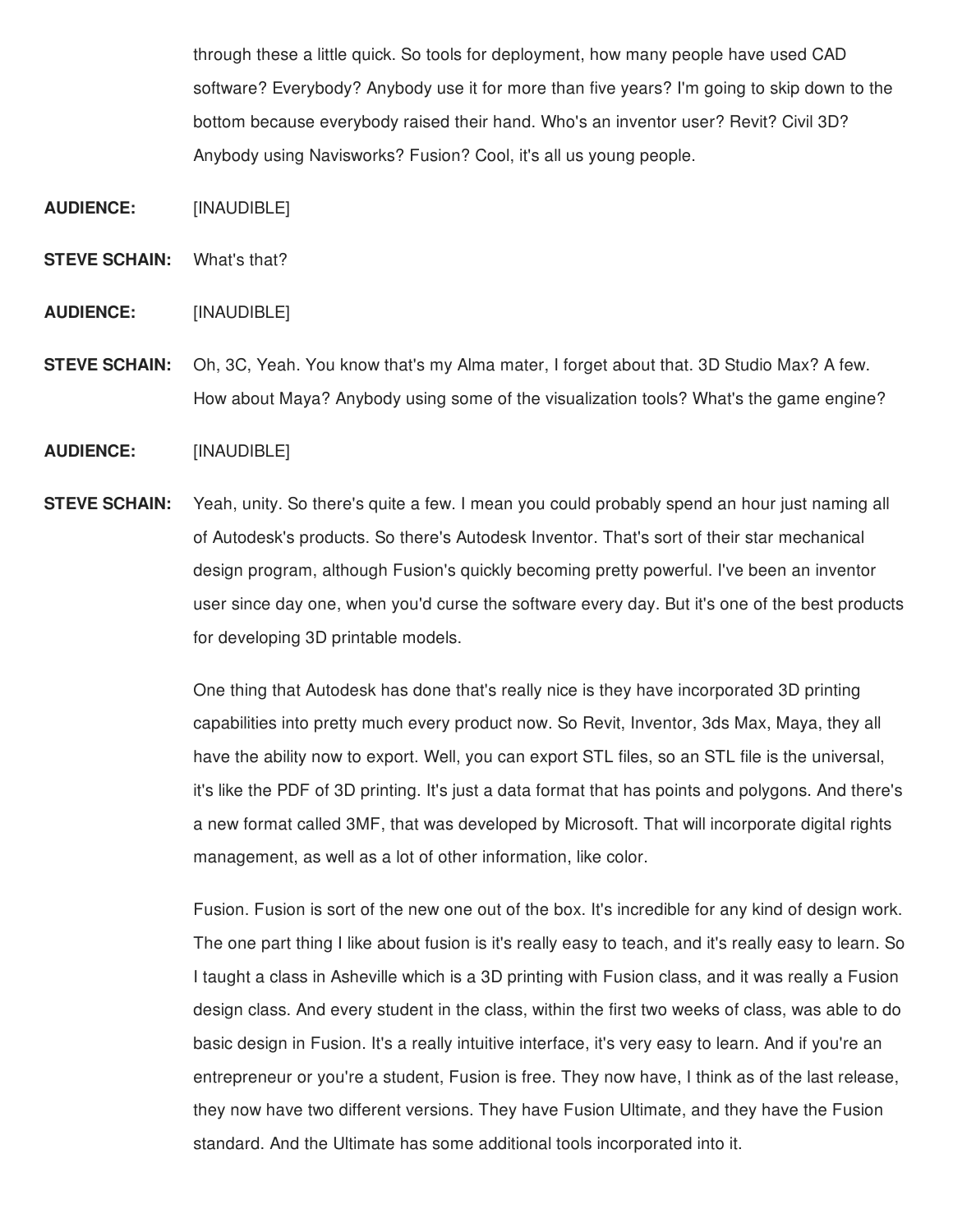through these a little quick. So tools for deployment, how many people have used CAD software? Everybody? Anybody use it for more than five years? I'm going to skip down to the bottom because everybody raised their hand. Who's an inventor user? Revit? Civil 3D? Anybody using Navisworks? Fusion? Cool, it's all us young people.

**AUDIENCE:** [INAUDIBLE]

**STEVE SCHAIN:** What's that?

**AUDIENCE:** [INAUDIBLE]

**STEVE SCHAIN:** Oh, 3C, Yeah. You know that's my Alma mater, I forget about that. 3D Studio Max? A few. How about Maya? Anybody using some of the visualization tools? What's the game engine?

### **AUDIENCE:** [INAUDIBLE]

**STEVE SCHAIN:** Yeah, unity. So there's quite a few. I mean you could probably spend an hour just naming all of Autodesk's products. So there's Autodesk Inventor. That's sort of their star mechanical design program, although Fusion's quickly becoming pretty powerful. I've been an inventor user since day one, when you'd curse the software every day. But it's one of the best products for developing 3D printable models.

> One thing that Autodesk has done that's really nice is they have incorporated 3D printing capabilities into pretty much every product now. So Revit, Inventor, 3ds Max, Maya, they all have the ability now to export. Well, you can export STL files, so an STL file is the universal, it's like the PDF of 3D printing. It's just a data format that has points and polygons. And there's a new format called 3MF, that was developed by Microsoft. That will incorporate digital rights management, as well as a lot of other information, like color.

> Fusion. Fusion is sort of the new one out of the box. It's incredible for any kind of design work. The one part thing I like about fusion is it's really easy to teach, and it's really easy to learn. So I taught a class in Asheville which is a 3D printing with Fusion class, and it was really a Fusion design class. And every student in the class, within the first two weeks of class, was able to do basic design in Fusion. It's a really intuitive interface, it's very easy to learn. And if you're an entrepreneur or you're a student, Fusion is free. They now have, I think as of the last release, they now have two different versions. They have Fusion Ultimate, and they have the Fusion standard. And the Ultimate has some additional tools incorporated into it.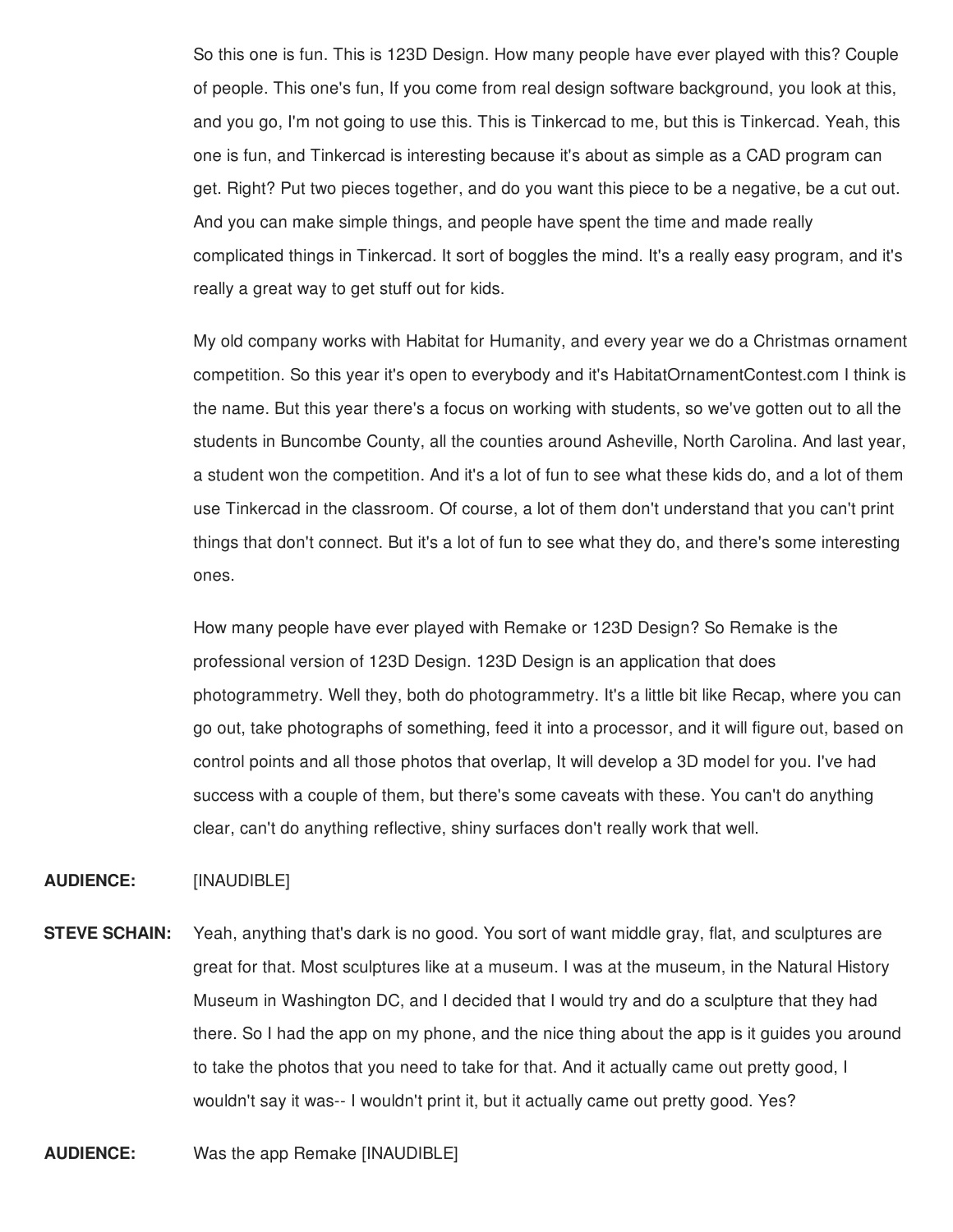So this one is fun. This is 123D Design. How many people have ever played with this? Couple of people. This one's fun, If you come from real design software background, you look at this, and you go, I'm not going to use this. This is Tinkercad to me, but this is Tinkercad. Yeah, this one is fun, and Tinkercad is interesting because it's about as simple as a CAD program can get. Right? Put two pieces together, and do you want this piece to be a negative, be a cut out. And you can make simple things, and people have spent the time and made really complicated things in Tinkercad. It sort of boggles the mind. It's a really easy program, and it's really a great way to get stuff out for kids.

My old company works with Habitat for Humanity, and every year we do a Christmas ornament competition. So this year it's open to everybody and it's HabitatOrnamentContest.com I think is the name. But this year there's a focus on working with students, so we've gotten out to all the students in Buncombe County, all the counties around Asheville, North Carolina. And last year, a student won the competition. And it's a lot of fun to see what these kids do, and a lot of them use Tinkercad in the classroom. Of course, a lot of them don't understand that you can't print things that don't connect. But it's a lot of fun to see what they do, and there's some interesting ones.

How many people have ever played with Remake or 123D Design? So Remake is the professional version of 123D Design. 123D Design is an application that does photogrammetry. Well they, both do photogrammetry. It's a little bit like Recap, where you can go out, take photographs of something, feed it into a processor, and it will figure out, based on control points and all those photos that overlap, It will develop a 3D model for you. I've had success with a couple of them, but there's some caveats with these. You can't do anything clear, can't do anything reflective, shiny surfaces don't really work that well.

**AUDIENCE:** [INAUDIBLE]

**STEVE SCHAIN:** Yeah, anything that's dark is no good. You sort of want middle gray, flat, and sculptures are great for that. Most sculptures like at a museum. I was at the museum, in the Natural History Museum in Washington DC, and I decided that I would try and do a sculpture that they had there. So I had the app on my phone, and the nice thing about the app is it guides you around to take the photos that you need to take for that. And it actually came out pretty good, I wouldn't say it was-- I wouldn't print it, but it actually came out pretty good. Yes?

**AUDIENCE:** Was the app Remake [INAUDIBLE]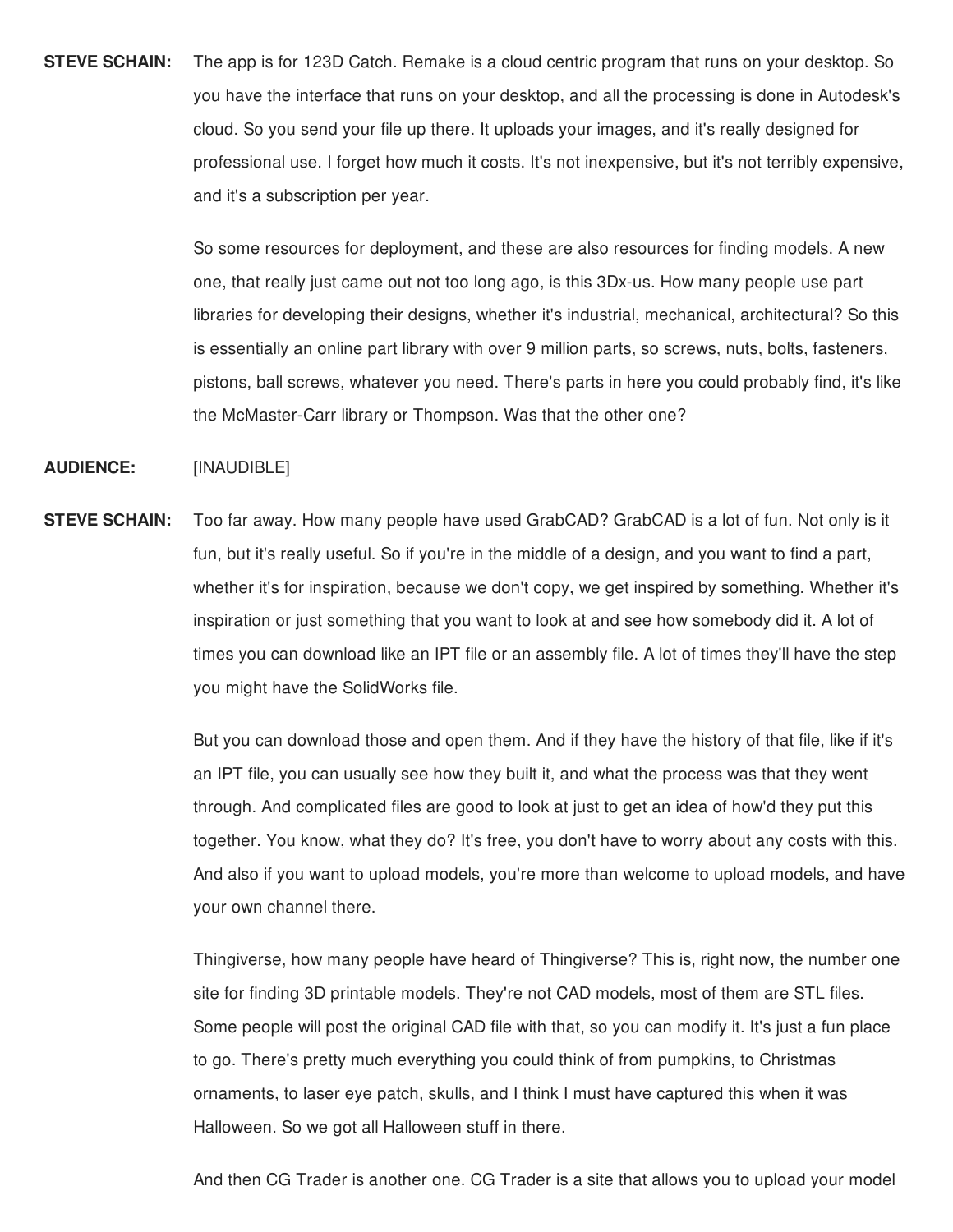**STEVE SCHAIN:** The app is for 123D Catch. Remake is a cloud centric program that runs on your desktop. So you have the interface that runs on your desktop, and all the processing is done in Autodesk's cloud. So you send your file up there. It uploads your images, and it's really designed for professional use. I forget how much it costs. It's not inexpensive, but it's not terribly expensive, and it's a subscription per year.

> So some resources for deployment, and these are also resources for finding models. A new one, that really just came out not too long ago, is this 3Dx-us. How many people use part libraries for developing their designs, whether it's industrial, mechanical, architectural? So this is essentially an online part library with over 9 million parts, so screws, nuts, bolts, fasteners, pistons, ball screws, whatever you need. There's parts in here you could probably find, it's like the McMaster-Carr library or Thompson. Was that the other one?

**AUDIENCE:** [INAUDIBLE]

**STEVE SCHAIN:** Too far away. How many people have used GrabCAD? GrabCAD is a lot of fun. Not only is it fun, but it's really useful. So if you're in the middle of a design, and you want to find a part, whether it's for inspiration, because we don't copy, we get inspired by something. Whether it's inspiration or just something that you want to look at and see how somebody did it. A lot of times you can download like an IPT file or an assembly file. A lot of times they'll have the step you might have the SolidWorks file.

> But you can download those and open them. And if they have the history of that file, like if it's an IPT file, you can usually see how they built it, and what the process was that they went through. And complicated files are good to look at just to get an idea of how'd they put this together. You know, what they do? It's free, you don't have to worry about any costs with this. And also if you want to upload models, you're more than welcome to upload models, and have your own channel there.

> Thingiverse, how many people have heard of Thingiverse? This is, right now, the number one site for finding 3D printable models. They're not CAD models, most of them are STL files. Some people will post the original CAD file with that, so you can modify it. It's just a fun place to go. There's pretty much everything you could think of from pumpkins, to Christmas ornaments, to laser eye patch, skulls, and I think I must have captured this when it was Halloween. So we got all Halloween stuff in there.

> And then CG Trader is another one. CG Trader is a site that allows you to upload your model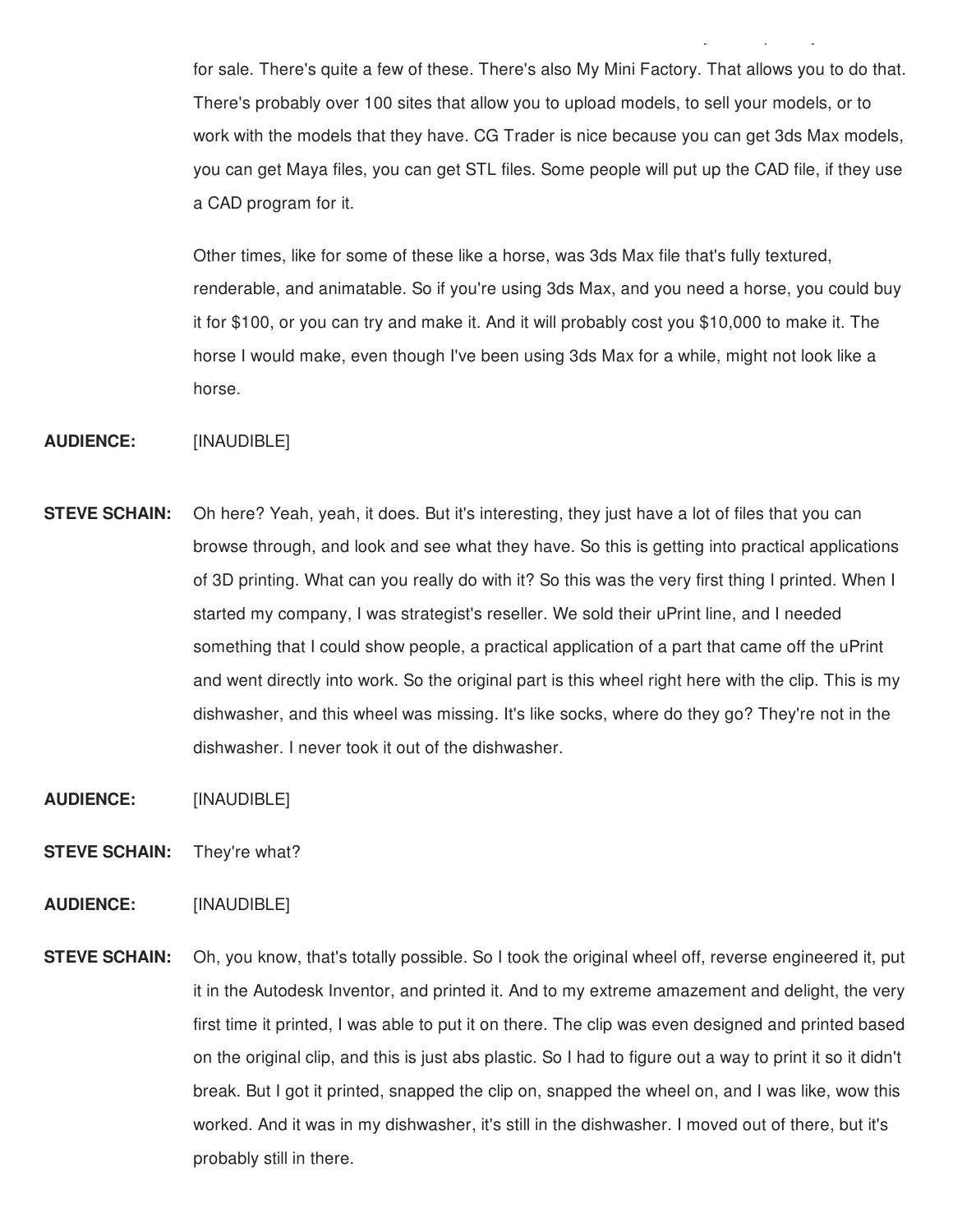for sale. There's quite a few of these. There's also My Mini Factory. That allows you to do that. There's probably over 100 sites that allow you to upload models, to sell your models, or to work with the models that they have. CG Trader is nice because you can get 3ds Max models, you can get Maya files, you can get STL files. Some people will put up the CAD file, if they use a CAD program for it.

 $A\subset C$ G Trader is another one. CG Trader is another one. CG Trader is a site that allows you to upload you to up

Other times, like for some of these like a horse, was 3ds Max file that's fully textured, renderable, and animatable. So if you're using 3ds Max, and you need a horse, you could buy it for \$100, or you can try and make it. And it will probably cost you \$10,000 to make it. The horse I would make, even though I've been using 3ds Max for a while, might not look like a horse.

## **AUDIENCE:** [INAUDIBLE]

- **STEVE SCHAIN:** Oh here? Yeah, yeah, it does. But it's interesting, they just have a lot of files that you can browse through, and look and see what they have. So this is getting into practical applications of 3D printing. What can you really do with it? So this was the very first thing I printed. When I started my company, I was strategist's reseller. We sold their uPrint line, and I needed something that I could show people, a practical application of a part that came off the uPrint and went directly into work. So the original part is this wheel right here with the clip. This is my dishwasher, and this wheel was missing. It's like socks, where do they go? They're not in the dishwasher. I never took it out of the dishwasher.
- **AUDIENCE:** [INAUDIBLE]
- **STEVE SCHAIN:** They're what?

# **AUDIENCE:** [INAUDIBLE]

**STEVE SCHAIN:** Oh, you know, that's totally possible. So I took the original wheel off, reverse engineered it, put it in the Autodesk Inventor, and printed it. And to my extreme amazement and delight, the very first time it printed, I was able to put it on there. The clip was even designed and printed based on the original clip, and this is just abs plastic. So I had to figure out a way to print it so it didn't break. But I got it printed, snapped the clip on, snapped the wheel on, and I was like, wow this worked. And it was in my dishwasher, it's still in the dishwasher. I moved out of there, but it's probably still in there.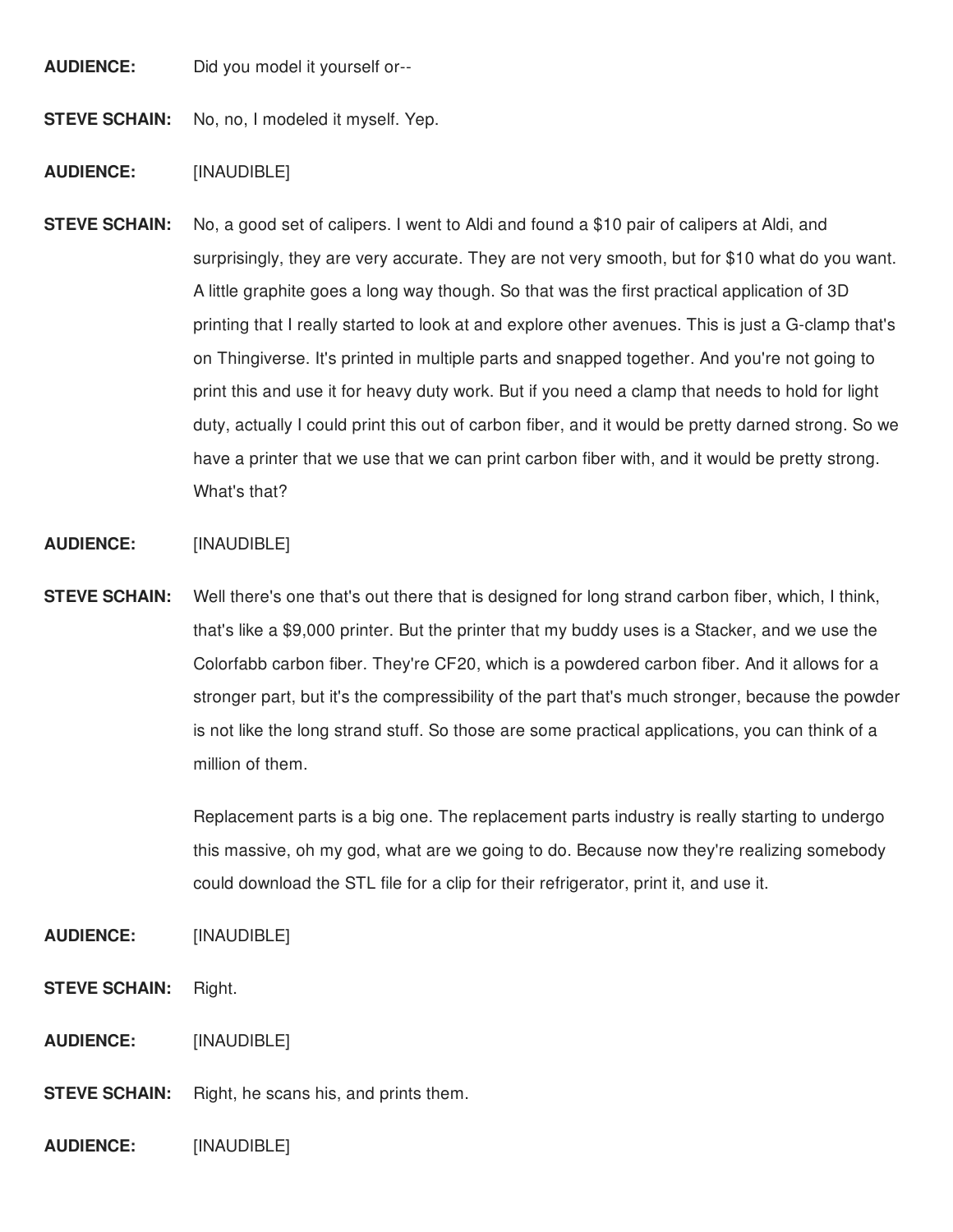**AUDIENCE:** Did you model it yourself or--

**STEVE SCHAIN:** No, no, I modeled it myself. Yep.

# **AUDIENCE:** [INAUDIBLE]

**STEVE SCHAIN:** No, a good set of calipers. I went to Aldi and found a \$10 pair of calipers at Aldi, and surprisingly, they are very accurate. They are not very smooth, but for \$10 what do you want. A little graphite goes a long way though. So that was the first practical application of 3D printing that I really started to look at and explore other avenues. This is just a G-clamp that's on Thingiverse. It's printed in multiple parts and snapped together. And you're not going to print this and use it for heavy duty work. But if you need a clamp that needs to hold for light duty, actually I could print this out of carbon fiber, and it would be pretty darned strong. So we have a printer that we use that we can print carbon fiber with, and it would be pretty strong. What's that?

#### **AUDIENCE:** [INAUDIBLE]

**STEVE SCHAIN:** Well there's one that's out there that is designed for long strand carbon fiber, which, I think, that's like a \$9,000 printer. But the printer that my buddy uses is a Stacker, and we use the Colorfabb carbon fiber. They're CF20, which is a powdered carbon fiber. And it allows for a stronger part, but it's the compressibility of the part that's much stronger, because the powder is not like the long strand stuff. So those are some practical applications, you can think of a million of them.

> Replacement parts is a big one. The replacement parts industry is really starting to undergo this massive, oh my god, what are we going to do. Because now they're realizing somebody could download the STL file for a clip for their refrigerator, print it, and use it.

# **AUDIENCE:** [INAUDIBLE]

- **STEVE SCHAIN:** Right.
- **AUDIENCE:** [INAUDIBLE]
- **STEVE SCHAIN:** Right, he scans his, and prints them.

**AUDIENCE:** [INAUDIBLE]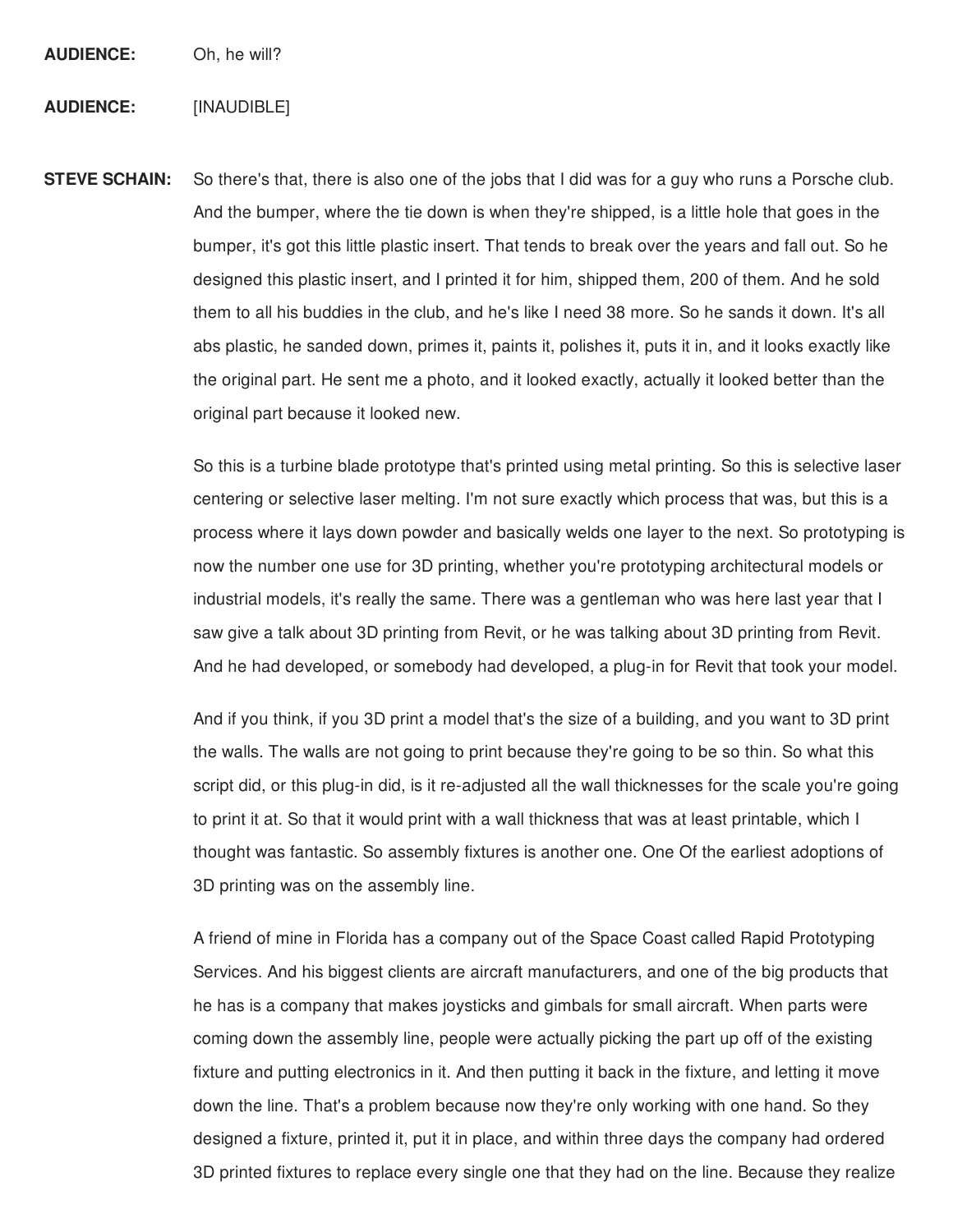**AUDIENCE:** Oh, he will?

### **AUDIENCE:** [INAUDIBLE]

**STEVE SCHAIN:** So there's that, there is also one of the jobs that I did was for a guy who runs a Porsche club. And the bumper, where the tie down is when they're shipped, is a little hole that goes in the bumper, it's got this little plastic insert. That tends to break over the years and fall out. So he designed this plastic insert, and I printed it for him, shipped them, 200 of them. And he sold them to all his buddies in the club, and he's like I need 38 more. So he sands it down. It's all abs plastic, he sanded down, primes it, paints it, polishes it, puts it in, and it looks exactly like the original part. He sent me a photo, and it looked exactly, actually it looked better than the original part because it looked new.

> So this is a turbine blade prototype that's printed using metal printing. So this is selective laser centering or selective laser melting. I'm not sure exactly which process that was, but this is a process where it lays down powder and basically welds one layer to the next. So prototyping is now the number one use for 3D printing, whether you're prototyping architectural models or industrial models, it's really the same. There was a gentleman who was here last year that I saw give a talk about 3D printing from Revit, or he was talking about 3D printing from Revit. And he had developed, or somebody had developed, a plug-in for Revit that took your model.

> And if you think, if you 3D print a model that's the size of a building, and you want to 3D print the walls. The walls are not going to print because they're going to be so thin. So what this script did, or this plug-in did, is it re-adjusted all the wall thicknesses for the scale you're going to print it at. So that it would print with a wall thickness that was at least printable, which I thought was fantastic. So assembly fixtures is another one. One Of the earliest adoptions of 3D printing was on the assembly line.

> A friend of mine in Florida has a company out of the Space Coast called Rapid Prototyping Services. And his biggest clients are aircraft manufacturers, and one of the big products that he has is a company that makes joysticks and gimbals for small aircraft. When parts were coming down the assembly line, people were actually picking the part up off of the existing fixture and putting electronics in it. And then putting it back in the fixture, and letting it move down the line. That's a problem because now they're only working with one hand. So they designed a fixture, printed it, put it in place, and within three days the company had ordered 3D printed fixtures to replace every single one that they had on the line. Because they realize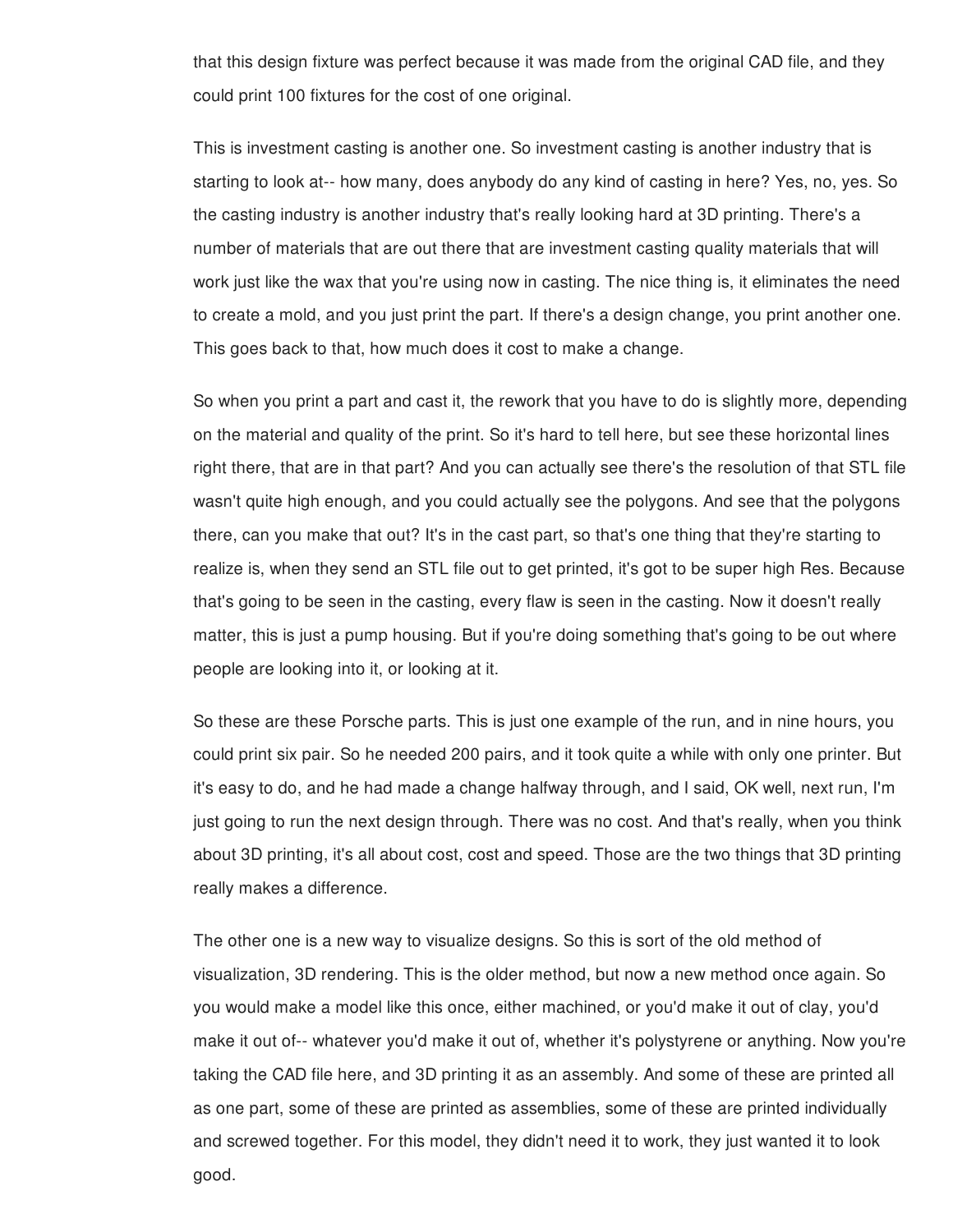that this design fixture was perfect because it was made from the original CAD file, and they could print 100 fixtures for the cost of one original.

This is investment casting is another one. So investment casting is another industry that is starting to look at-- how many, does anybody do any kind of casting in here? Yes, no, yes. So the casting industry is another industry that's really looking hard at 3D printing. There's a number of materials that are out there that are investment casting quality materials that will work just like the wax that you're using now in casting. The nice thing is, it eliminates the need to create a mold, and you just print the part. If there's a design change, you print another one. This goes back to that, how much does it cost to make a change.

So when you print a part and cast it, the rework that you have to do is slightly more, depending on the material and quality of the print. So it's hard to tell here, but see these horizontal lines right there, that are in that part? And you can actually see there's the resolution of that STL file wasn't quite high enough, and you could actually see the polygons. And see that the polygons there, can you make that out? It's in the cast part, so that's one thing that they're starting to realize is, when they send an STL file out to get printed, it's got to be super high Res. Because that's going to be seen in the casting, every flaw is seen in the casting. Now it doesn't really matter, this is just a pump housing. But if you're doing something that's going to be out where people are looking into it, or looking at it.

So these are these Porsche parts. This is just one example of the run, and in nine hours, you could print six pair. So he needed 200 pairs, and it took quite a while with only one printer. But it's easy to do, and he had made a change halfway through, and I said, OK well, next run, I'm just going to run the next design through. There was no cost. And that's really, when you think about 3D printing, it's all about cost, cost and speed. Those are the two things that 3D printing really makes a difference.

The other one is a new way to visualize designs. So this is sort of the old method of visualization, 3D rendering. This is the older method, but now a new method once again. So you would make a model like this once, either machined, or you'd make it out of clay, you'd make it out of-- whatever you'd make it out of, whether it's polystyrene or anything. Now you're taking the CAD file here, and 3D printing it as an assembly. And some of these are printed all as one part, some of these are printed as assemblies, some of these are printed individually and screwed together. For this model, they didn't need it to work, they just wanted it to look good.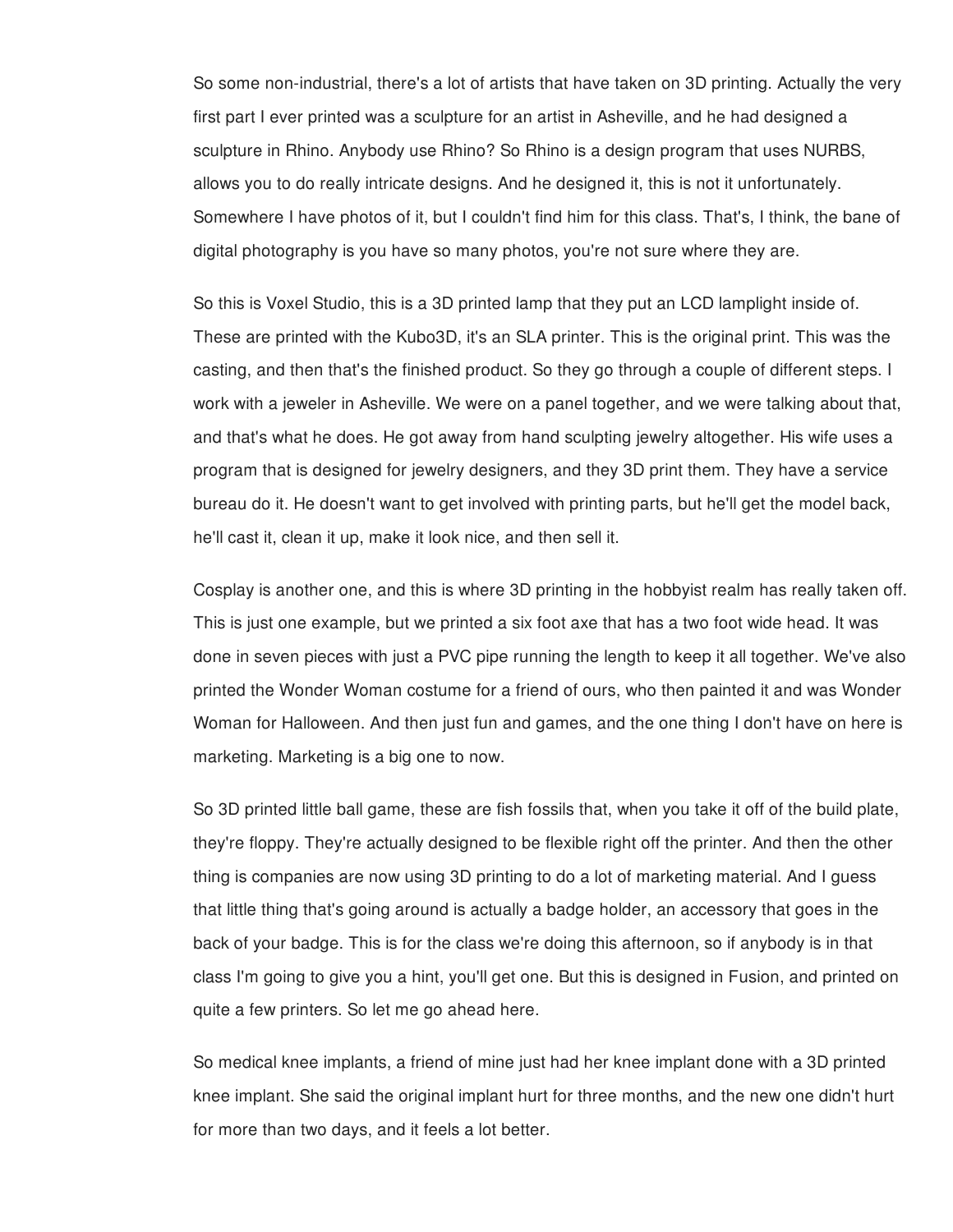So some non-industrial, there's a lot of artists that have taken on 3D printing. Actually the very first part I ever printed was a sculpture for an artist in Asheville, and he had designed a sculpture in Rhino. Anybody use Rhino? So Rhino is a design program that uses NURBS, allows you to do really intricate designs. And he designed it, this is not it unfortunately. Somewhere I have photos of it, but I couldn't find him for this class. That's, I think, the bane of digital photography is you have so many photos, you're not sure where they are.

So this is Voxel Studio, this is a 3D printed lamp that they put an LCD lamplight inside of. These are printed with the Kubo3D, it's an SLA printer. This is the original print. This was the casting, and then that's the finished product. So they go through a couple of different steps. I work with a jeweler in Asheville. We were on a panel together, and we were talking about that, and that's what he does. He got away from hand sculpting jewelry altogether. His wife uses a program that is designed for jewelry designers, and they 3D print them. They have a service bureau do it. He doesn't want to get involved with printing parts, but he'll get the model back, he'll cast it, clean it up, make it look nice, and then sell it.

Cosplay is another one, and this is where 3D printing in the hobbyist realm has really taken off. This is just one example, but we printed a six foot axe that has a two foot wide head. It was done in seven pieces with just a PVC pipe running the length to keep it all together. We've also printed the Wonder Woman costume for a friend of ours, who then painted it and was Wonder Woman for Halloween. And then just fun and games, and the one thing I don't have on here is marketing. Marketing is a big one to now.

So 3D printed little ball game, these are fish fossils that, when you take it off of the build plate, they're floppy. They're actually designed to be flexible right off the printer. And then the other thing is companies are now using 3D printing to do a lot of marketing material. And I guess that little thing that's going around is actually a badge holder, an accessory that goes in the back of your badge. This is for the class we're doing this afternoon, so if anybody is in that class I'm going to give you a hint, you'll get one. But this is designed in Fusion, and printed on quite a few printers. So let me go ahead here.

So medical knee implants, a friend of mine just had her knee implant done with a 3D printed knee implant. She said the original implant hurt for three months, and the new one didn't hurt for more than two days, and it feels a lot better.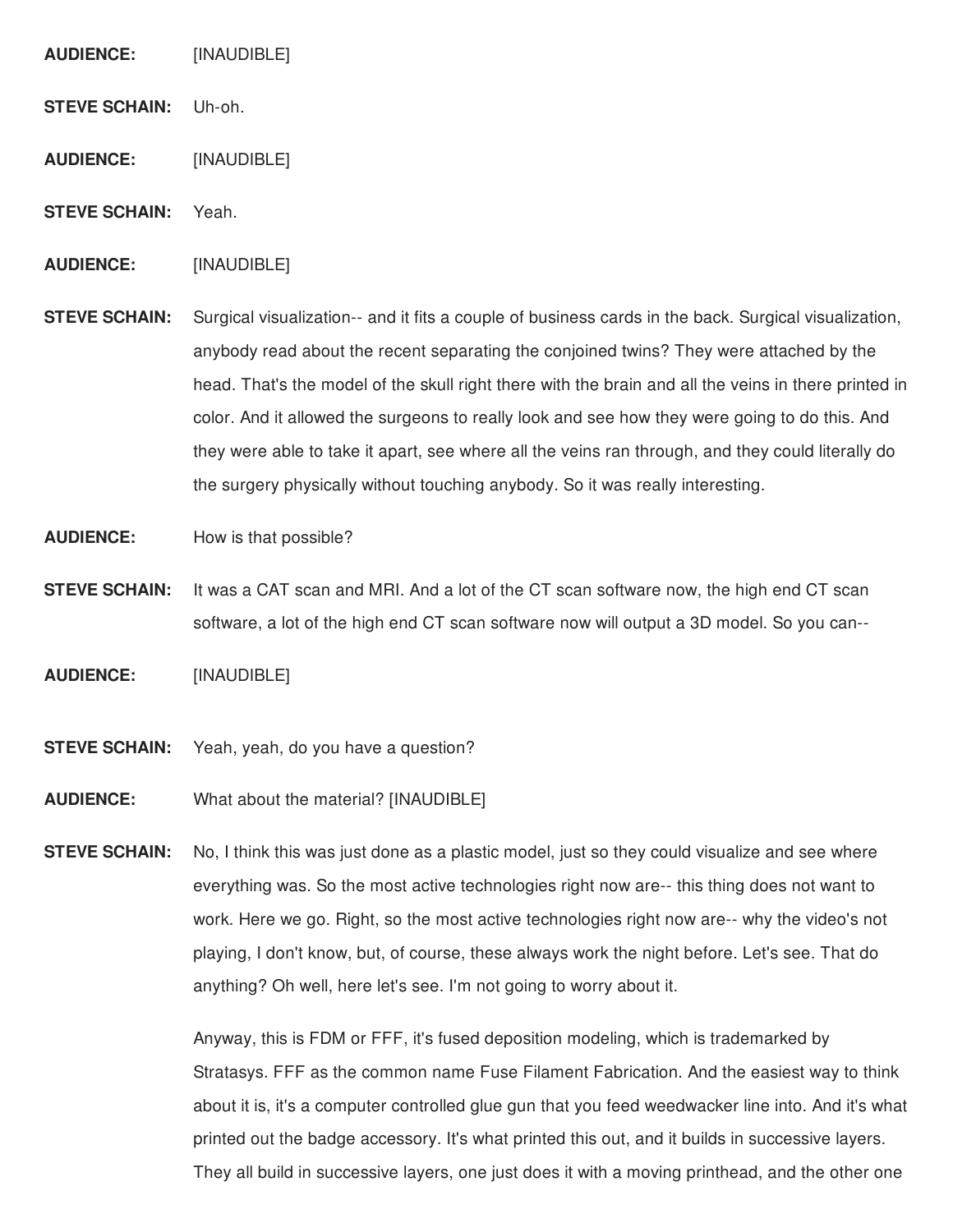**AUDIENCE:** [INAUDIBLE]

**STEVE SCHAIN:** Uh-oh.

**AUDIENCE:** [INAUDIBLE]

**STEVE SCHAIN:** Yeah.

**AUDIENCE:** [INAUDIBLE]

**STEVE SCHAIN:** Surgical visualization-- and it fits a couple of business cards in the back. Surgical visualization, anybody read about the recent separating the conjoined twins? They were attached by the head. That's the model of the skull right there with the brain and all the veins in there printed in color. And it allowed the surgeons to really look and see how they were going to do this. And they were able to take it apart, see where all the veins ran through, and they could literally do the surgery physically without touching anybody. So it was really interesting.

**AUDIENCE:** How is that possible?

**STEVE SCHAIN:** It was a CAT scan and MRI. And a lot of the CT scan software now, the high end CT scan software, a lot of the high end CT scan software now will output a 3D model. So you can--

**AUDIENCE:** [INAUDIBLE]

**STEVE SCHAIN:** Yeah, yeah, do you have a question?

**AUDIENCE:** What about the material? [INAUDIBLE]

**STEVE SCHAIN:** No, I think this was just done as a plastic model, just so they could visualize and see where everything was. So the most active technologies right now are-- this thing does not want to work. Here we go. Right, so the most active technologies right now are-- why the video's not playing, I don't know, but, of course, these always work the night before. Let's see. That do anything? Oh well, here let's see. I'm not going to worry about it.

> Anyway, this is FDM or FFF, it's fused deposition modeling, which is trademarked by Stratasys. FFF as the common name Fuse Filament Fabrication. And the easiest way to think about it is, it's a computer controlled glue gun that you feed weedwacker line into. And it's what printed out the badge accessory. It's what printed this out, and it builds in successive layers. They all build in successive layers, one just does it with a moving printhead, and the other one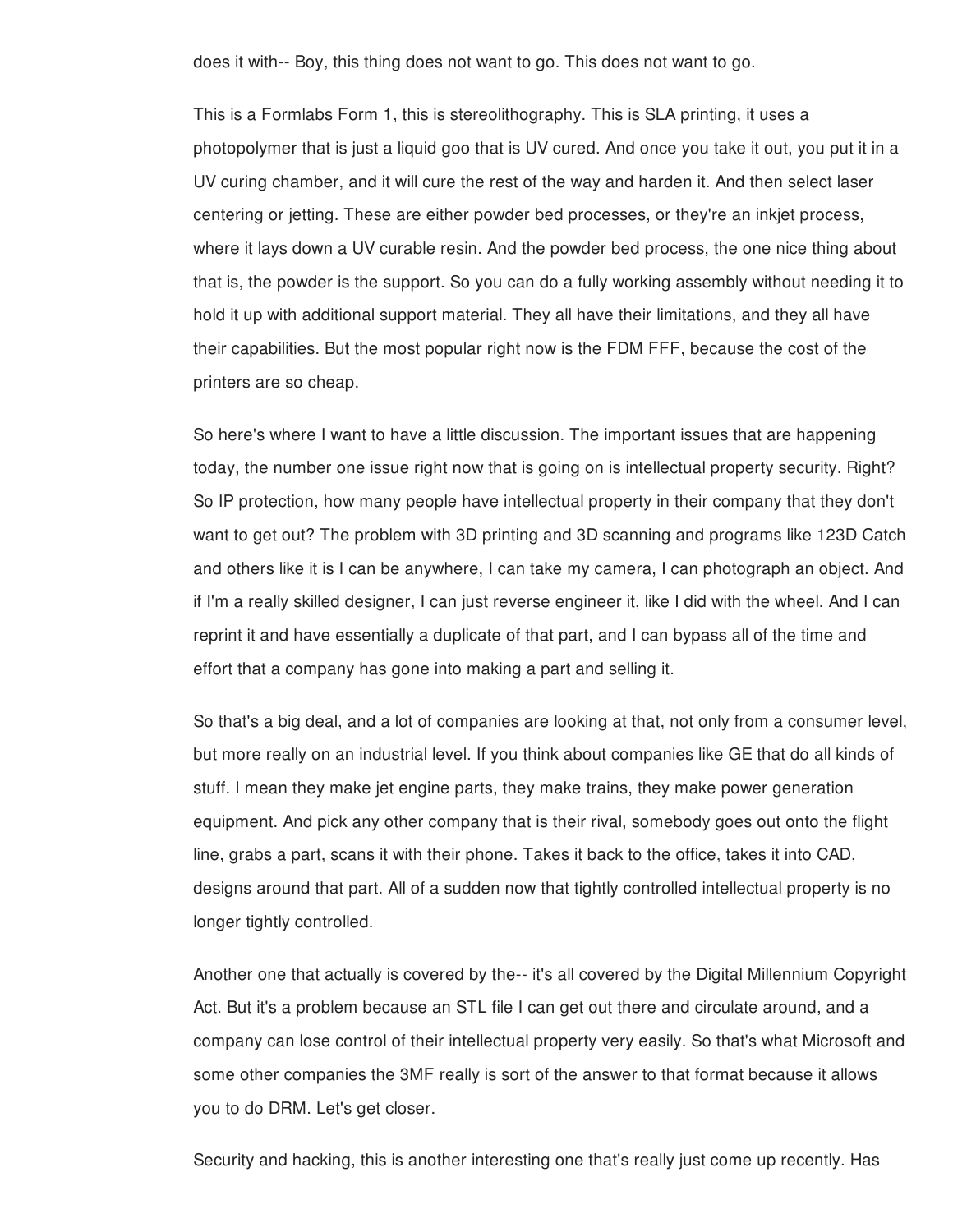does it with-- Boy, this thing does not want to go. This does not want to go.

This is a Formlabs Form 1, this is stereolithography. This is SLA printing, it uses a photopolymer that is just a liquid goo that is UV cured. And once you take it out, you put it in a UV curing chamber, and it will cure the rest of the way and harden it. And then select laser centering or jetting. These are either powder bed processes, or they're an inkjet process, where it lays down a UV curable resin. And the powder bed process, the one nice thing about that is, the powder is the support. So you can do a fully working assembly without needing it to hold it up with additional support material. They all have their limitations, and they all have their capabilities. But the most popular right now is the FDM FFF, because the cost of the printers are so cheap.

So here's where I want to have a little discussion. The important issues that are happening today, the number one issue right now that is going on is intellectual property security. Right? So IP protection, how many people have intellectual property in their company that they don't want to get out? The problem with 3D printing and 3D scanning and programs like 123D Catch and others like it is I can be anywhere, I can take my camera, I can photograph an object. And if I'm a really skilled designer, I can just reverse engineer it, like I did with the wheel. And I can reprint it and have essentially a duplicate of that part, and I can bypass all of the time and effort that a company has gone into making a part and selling it.

So that's a big deal, and a lot of companies are looking at that, not only from a consumer level, but more really on an industrial level. If you think about companies like GE that do all kinds of stuff. I mean they make jet engine parts, they make trains, they make power generation equipment. And pick any other company that is their rival, somebody goes out onto the flight line, grabs a part, scans it with their phone. Takes it back to the office, takes it into CAD, designs around that part. All of a sudden now that tightly controlled intellectual property is no longer tightly controlled.

Another one that actually is covered by the-- it's all covered by the Digital Millennium Copyright Act. But it's a problem because an STL file I can get out there and circulate around, and a company can lose control of their intellectual property very easily. So that's what Microsoft and some other companies the 3MF really is sort of the answer to that format because it allows you to do DRM. Let's get closer.

Security and hacking, this is another interesting one that's really just come up recently. Has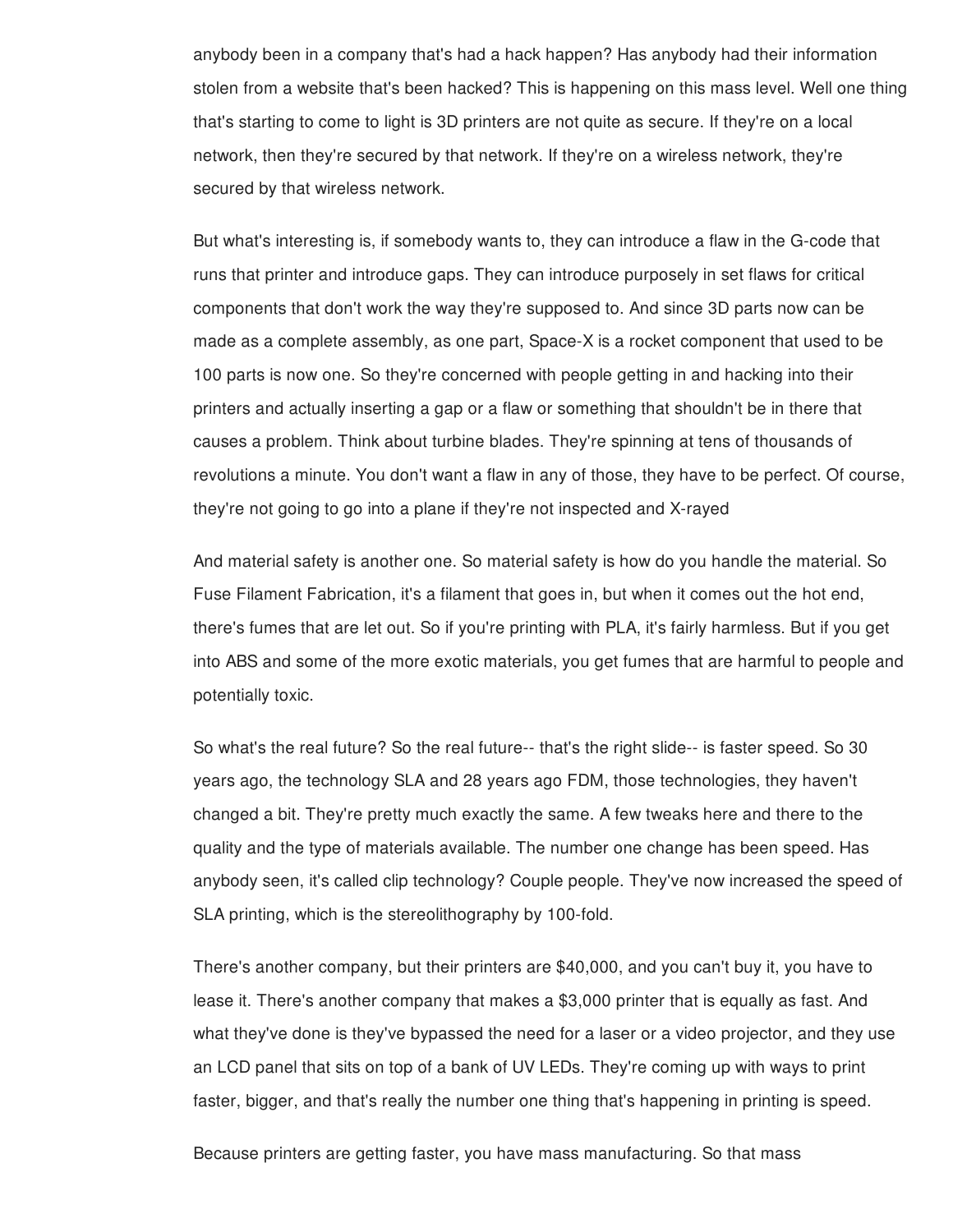anybody been in a company that's had a hack happen? Has anybody had their information stolen from a website that's been hacked? This is happening on this mass level. Well one thing that's starting to come to light is 3D printers are not quite as secure. If they're on a local network, then they're secured by that network. If they're on a wireless network, they're secured by that wireless network.

But what's interesting is, if somebody wants to, they can introduce a flaw in the G-code that runs that printer and introduce gaps. They can introduce purposely in set flaws for critical components that don't work the way they're supposed to. And since 3D parts now can be made as a complete assembly, as one part, Space-X is a rocket component that used to be 100 parts is now one. So they're concerned with people getting in and hacking into their printers and actually inserting a gap or a flaw or something that shouldn't be in there that causes a problem. Think about turbine blades. They're spinning at tens of thousands of revolutions a minute. You don't want a flaw in any of those, they have to be perfect. Of course, they're not going to go into a plane if they're not inspected and X-rayed

And material safety is another one. So material safety is how do you handle the material. So Fuse Filament Fabrication, it's a filament that goes in, but when it comes out the hot end, there's fumes that are let out. So if you're printing with PLA, it's fairly harmless. But if you get into ABS and some of the more exotic materials, you get fumes that are harmful to people and potentially toxic.

So what's the real future? So the real future-- that's the right slide-- is faster speed. So 30 years ago, the technology SLA and 28 years ago FDM, those technologies, they haven't changed a bit. They're pretty much exactly the same. A few tweaks here and there to the quality and the type of materials available. The number one change has been speed. Has anybody seen, it's called clip technology? Couple people. They've now increased the speed of SLA printing, which is the stereolithography by 100-fold.

There's another company, but their printers are \$40,000, and you can't buy it, you have to lease it. There's another company that makes a \$3,000 printer that is equally as fast. And what they've done is they've bypassed the need for a laser or a video projector, and they use an LCD panel that sits on top of a bank of UV LEDs. They're coming up with ways to print faster, bigger, and that's really the number one thing that's happening in printing is speed.

Because printers are getting faster, you have mass manufacturing. So that mass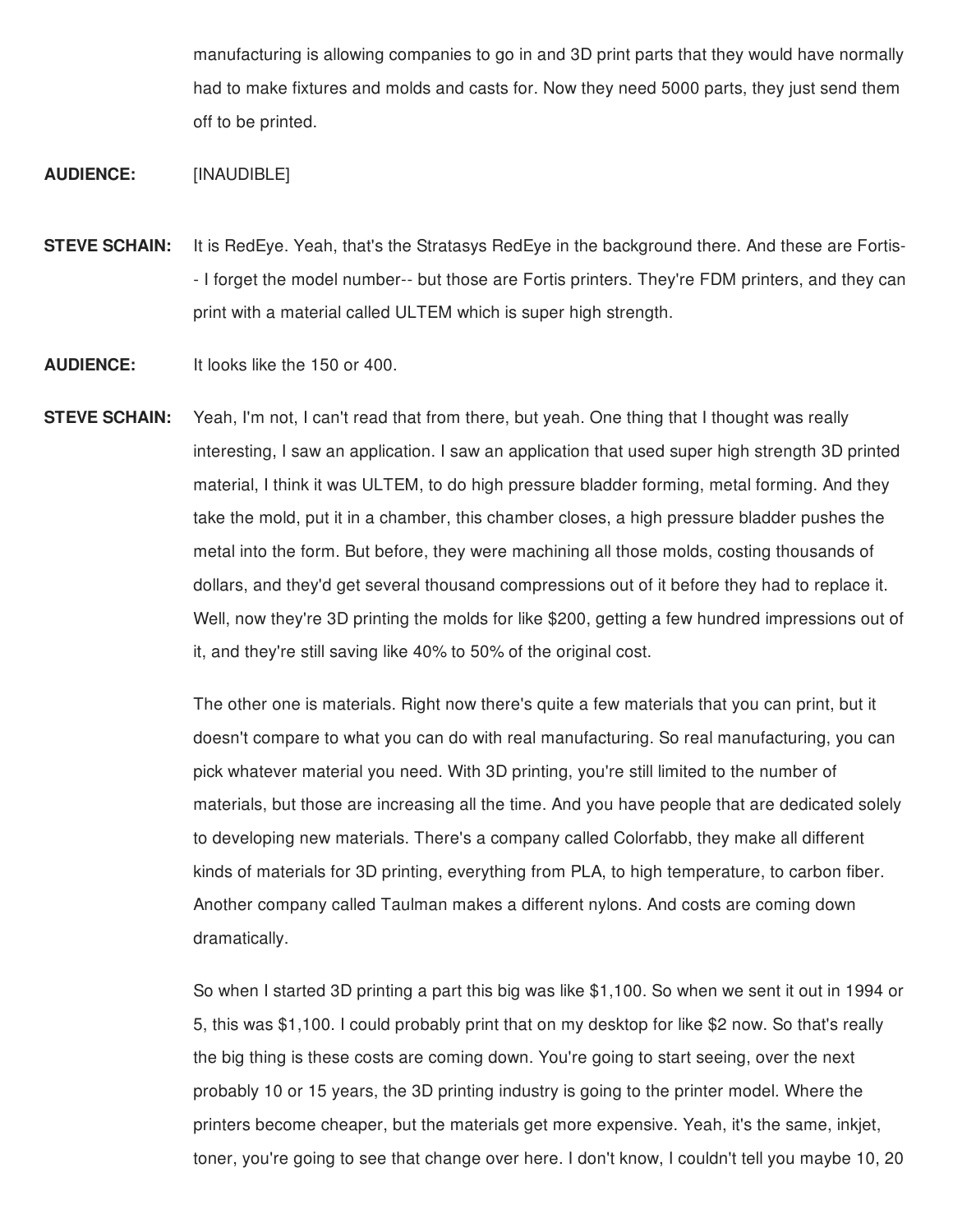manufacturing is allowing companies to go in and 3D print parts that they would have normally had to make fixtures and molds and casts for. Now they need 5000 parts, they just send them off to be printed.

# **AUDIENCE:** [INAUDIBLE]

**STEVE SCHAIN:** It is RedEye. Yeah, that's the Stratasys RedEye in the background there. And these are Fortis- - I forget the model number-- but those are Fortis printers. They're FDM printers, and they can print with a material called ULTEM which is super high strength.

**AUDIENCE:** It looks like the 150 or 400.

**STEVE SCHAIN:** Yeah, I'm not, I can't read that from there, but yeah. One thing that I thought was really interesting, I saw an application. I saw an application that used super high strength 3D printed material, I think it was ULTEM, to do high pressure bladder forming, metal forming. And they take the mold, put it in a chamber, this chamber closes, a high pressure bladder pushes the metal into the form. But before, they were machining all those molds, costing thousands of dollars, and they'd get several thousand compressions out of it before they had to replace it. Well, now they're 3D printing the molds for like \$200, getting a few hundred impressions out of it, and they're still saving like 40% to 50% of the original cost.

> The other one is materials. Right now there's quite a few materials that you can print, but it doesn't compare to what you can do with real manufacturing. So real manufacturing, you can pick whatever material you need. With 3D printing, you're still limited to the number of materials, but those are increasing all the time. And you have people that are dedicated solely to developing new materials. There's a company called Colorfabb, they make all different kinds of materials for 3D printing, everything from PLA, to high temperature, to carbon fiber. Another company called Taulman makes a different nylons. And costs are coming down dramatically.

> So when I started 3D printing a part this big was like \$1,100. So when we sent it out in 1994 or 5, this was \$1,100. I could probably print that on my desktop for like \$2 now. So that's really the big thing is these costs are coming down. You're going to start seeing, over the next probably 10 or 15 years, the 3D printing industry is going to the printer model. Where the printers become cheaper, but the materials get more expensive. Yeah, it's the same, inkjet, toner, you're going to see that change over here. I don't know, I couldn't tell you maybe 10, 20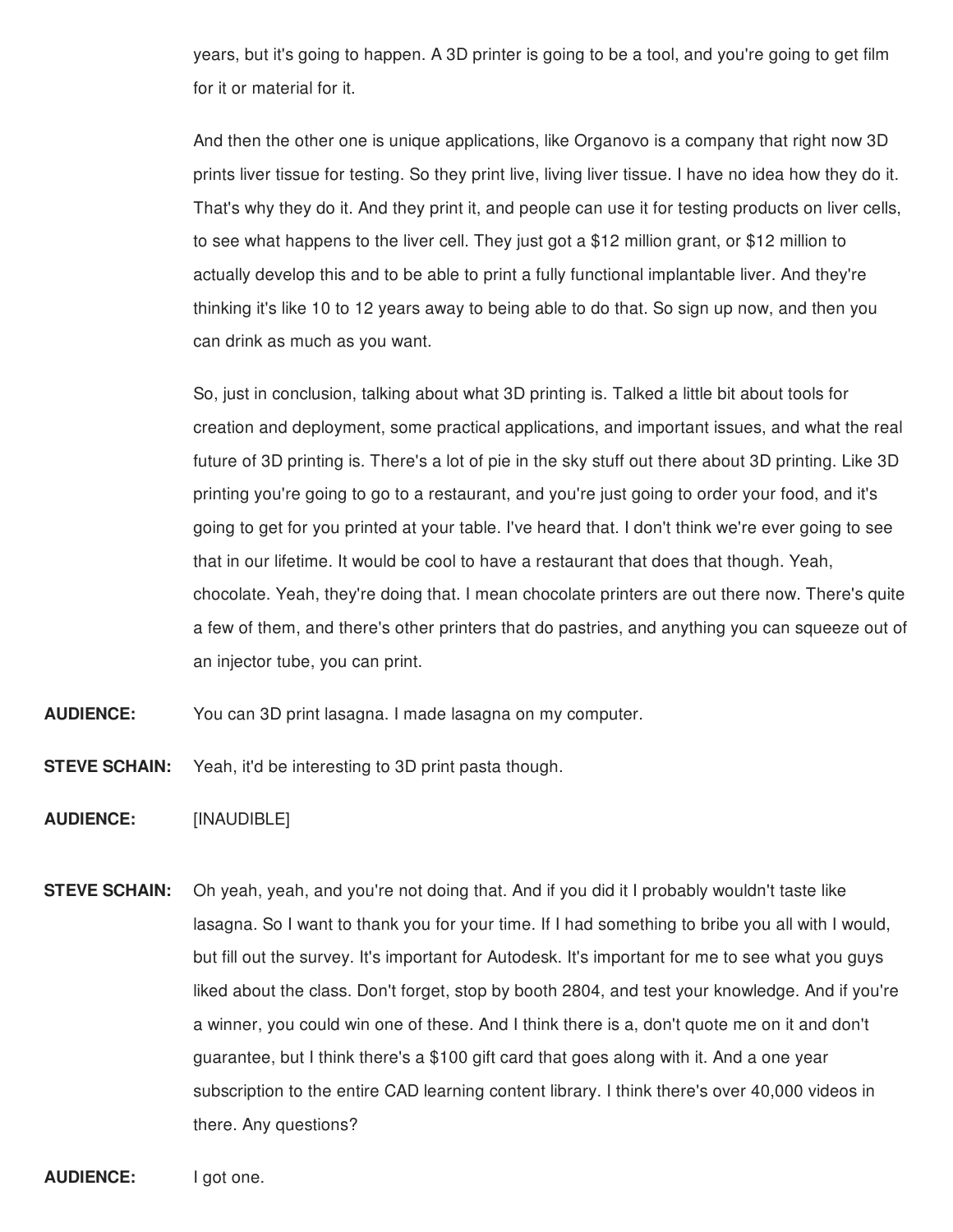years, but it's going to happen. A 3D printer is going to be a tool, and you're going to get film for it or material for it.

And then the other one is unique applications, like Organovo is a company that right now 3D prints liver tissue for testing. So they print live, living liver tissue. I have no idea how they do it. That's why they do it. And they print it, and people can use it for testing products on liver cells, to see what happens to the liver cell. They just got a \$12 million grant, or \$12 million to actually develop this and to be able to print a fully functional implantable liver. And they're thinking it's like 10 to 12 years away to being able to do that. So sign up now, and then you can drink as much as you want.

So, just in conclusion, talking about what 3D printing is. Talked a little bit about tools for creation and deployment, some practical applications, and important issues, and what the real future of 3D printing is. There's a lot of pie in the sky stuff out there about 3D printing. Like 3D printing you're going to go to a restaurant, and you're just going to order your food, and it's going to get for you printed at your table. I've heard that. I don't think we're ever going to see that in our lifetime. It would be cool to have a restaurant that does that though. Yeah, chocolate. Yeah, they're doing that. I mean chocolate printers are out there now. There's quite a few of them, and there's other printers that do pastries, and anything you can squeeze out of an injector tube, you can print.

**AUDIENCE:** You can 3D print lasagna. I made lasagna on my computer.

**STEVE SCHAIN:** Yeah, it'd be interesting to 3D print pasta though.

**AUDIENCE:** [INAUDIBLE]

**STEVE SCHAIN:** Oh yeah, yeah, and you're not doing that. And if you did it I probably wouldn't taste like lasagna. So I want to thank you for your time. If I had something to bribe you all with I would, but fill out the survey. It's important for Autodesk. It's important for me to see what you guys liked about the class. Don't forget, stop by booth 2804, and test your knowledge. And if you're a winner, you could win one of these. And I think there is a, don't quote me on it and don't guarantee, but I think there's a \$100 gift card that goes along with it. And a one year subscription to the entire CAD learning content library. I think there's over 40,000 videos in there. Any questions?

**AUDIENCE:** I got one.